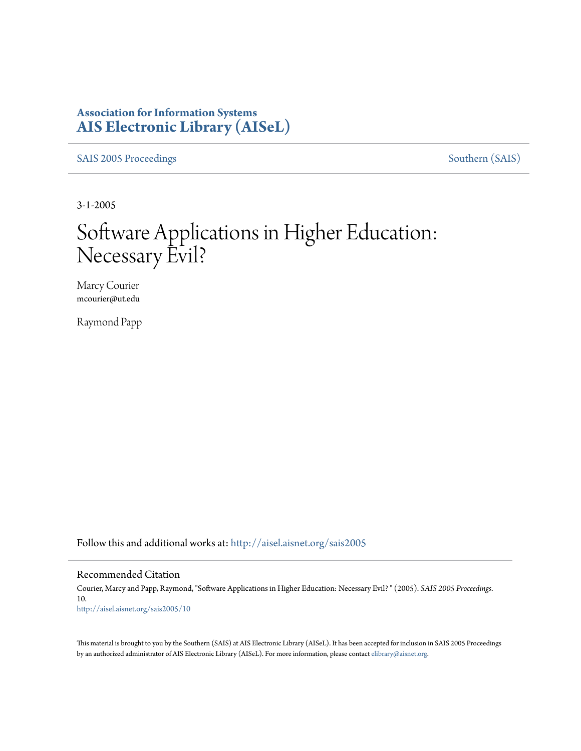## **Association for Information Systems [AIS Electronic Library \(AISeL\)](http://aisel.aisnet.org?utm_source=aisel.aisnet.org%2Fsais2005%2F10&utm_medium=PDF&utm_campaign=PDFCoverPages)**

[SAIS 2005 Proceedings](http://aisel.aisnet.org/sais2005?utm_source=aisel.aisnet.org%2Fsais2005%2F10&utm_medium=PDF&utm_campaign=PDFCoverPages) [Southern \(SAIS\)](http://aisel.aisnet.org/sais?utm_source=aisel.aisnet.org%2Fsais2005%2F10&utm_medium=PDF&utm_campaign=PDFCoverPages)

3-1-2005

# Software Applications in Higher Education: Necessary Evil?

Marcy Courier mcourier@ut.edu

Raymond Papp

Follow this and additional works at: [http://aisel.aisnet.org/sais2005](http://aisel.aisnet.org/sais2005?utm_source=aisel.aisnet.org%2Fsais2005%2F10&utm_medium=PDF&utm_campaign=PDFCoverPages)

#### Recommended Citation

Courier, Marcy and Papp, Raymond, "Software Applications in Higher Education: Necessary Evil? " (2005). *SAIS 2005 Proceedings*. 10. [http://aisel.aisnet.org/sais2005/10](http://aisel.aisnet.org/sais2005/10?utm_source=aisel.aisnet.org%2Fsais2005%2F10&utm_medium=PDF&utm_campaign=PDFCoverPages)

This material is brought to you by the Southern (SAIS) at AIS Electronic Library (AISeL). It has been accepted for inclusion in SAIS 2005 Proceedings by an authorized administrator of AIS Electronic Library (AISeL). For more information, please contact [elibrary@aisnet.org](mailto:elibrary@aisnet.org%3E).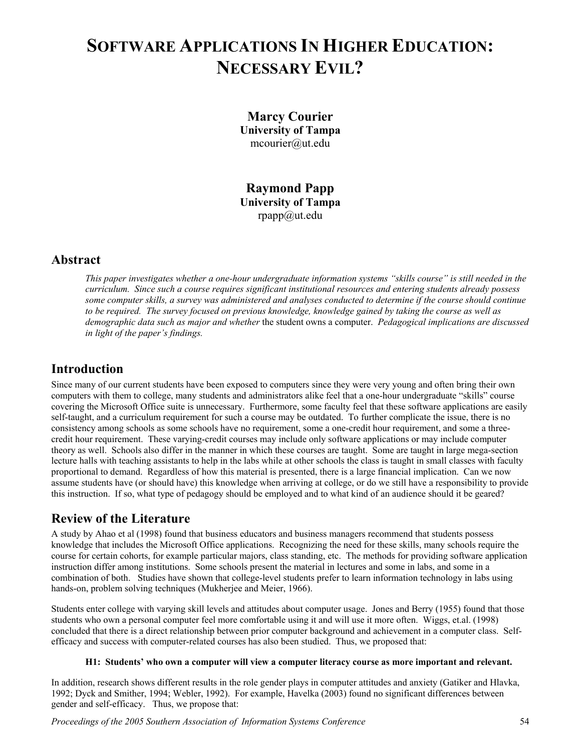## **SOFTWARE APPLICATIONS IN HIGHER EDUCATION: NECESSARY EVIL?**

**Marcy Courier University of Tampa**  mcourier@ut.edu

**Raymond Papp University of Tampa**  rpapp@ut.edu

### **Abstract**

*This paper investigates whether a one-hour undergraduate information systems "skills course" is still needed in the curriculum. Since such a course requires significant institutional resources and entering students already possess some computer skills, a survey was administered and analyses conducted to determine if the course should continue to be required. The survey focused on previous knowledge, knowledge gained by taking the course as well as demographic data such as major and whether* the student owns a computer. *Pedagogical implications are discussed in light of the paper's findings.* 

## **Introduction**

Since many of our current students have been exposed to computers since they were very young and often bring their own computers with them to college, many students and administrators alike feel that a one-hour undergraduate "skills" course covering the Microsoft Office suite is unnecessary. Furthermore, some faculty feel that these software applications are easily self-taught, and a curriculum requirement for such a course may be outdated. To further complicate the issue, there is no consistency among schools as some schools have no requirement, some a one-credit hour requirement, and some a threecredit hour requirement. These varying-credit courses may include only software applications or may include computer theory as well. Schools also differ in the manner in which these courses are taught. Some are taught in large mega-section lecture halls with teaching assistants to help in the labs while at other schools the class is taught in small classes with faculty proportional to demand. Regardless of how this material is presented, there is a large financial implication. Can we now assume students have (or should have) this knowledge when arriving at college, or do we still have a responsibility to provide this instruction. If so, what type of pedagogy should be employed and to what kind of an audience should it be geared?

## **Review of the Literature**

A study by Ahao et al (1998) found that business educators and business managers recommend that students possess knowledge that includes the Microsoft Office applications. Recognizing the need for these skills, many schools require the course for certain cohorts, for example particular majors, class standing, etc. The methods for providing software application instruction differ among institutions. Some schools present the material in lectures and some in labs, and some in a combination of both. Studies have shown that college-level students prefer to learn information technology in labs using hands-on, problem solving techniques (Mukherjee and Meier, 1966).

Students enter college with varying skill levels and attitudes about computer usage. Jones and Berry (1955) found that those students who own a personal computer feel more comfortable using it and will use it more often. Wiggs, et.al. (1998) concluded that there is a direct relationship between prior computer background and achievement in a computer class. Selfefficacy and success with computer-related courses has also been studied. Thus, we proposed that:

#### **H1: Students' who own a computer will view a computer literacy course as more important and relevant.**

In addition, research shows different results in the role gender plays in computer attitudes and anxiety (Gatiker and Hlavka, 1992; Dyck and Smither, 1994; Webler, 1992). For example, Havelka (2003) found no significant differences between gender and self-efficacy. Thus, we propose that: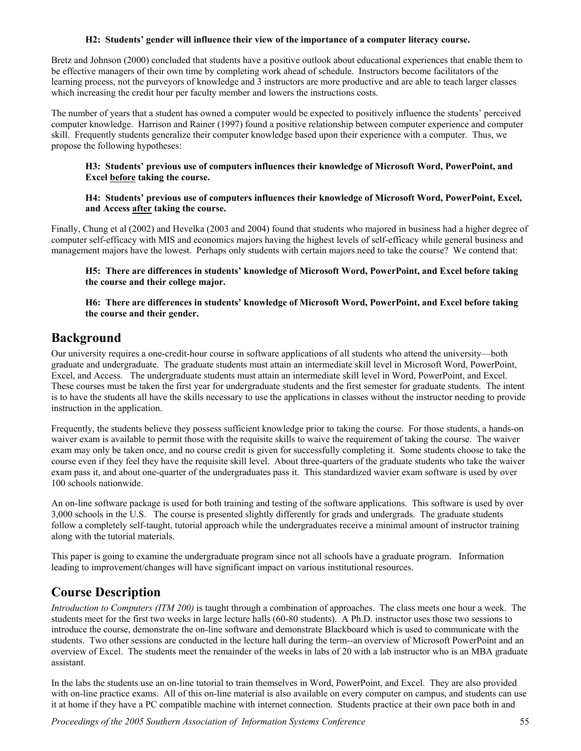#### **H2: Students' gender will influence their view of the importance of a computer literacy course.**

Bretz and Johnson (2000) concluded that students have a positive outlook about educational experiences that enable them to be effective managers of their own time by completing work ahead of schedule. Instructors become facilitators of the learning process, not the purveyors of knowledge and 3 instructors are more productive and are able to teach larger classes which increasing the credit hour per faculty member and lowers the instructions costs.

The number of years that a student has owned a computer would be expected to positively influence the students' perceived computer knowledge. Harrison and Rainer (1997) found a positive relationship between computer experience and computer skill. Frequently students generalize their computer knowledge based upon their experience with a computer. Thus, we propose the following hypotheses:

#### **H3: Students' previous use of computers influences their knowledge of Microsoft Word, PowerPoint, and Excel before taking the course.**

#### **H4: Students' previous use of computers influences their knowledge of Microsoft Word, PowerPoint, Excel, and Access after taking the course.**

Finally, Chung et al (2002) and Hevelka (2003 and 2004) found that students who majored in business had a higher degree of computer self-efficacy with MIS and economics majors having the highest levels of self-efficacy while general business and management majors have the lowest. Perhaps only students with certain majors need to take the course? We contend that:

**H5: There are differences in students' knowledge of Microsoft Word, PowerPoint, and Excel before taking the course and their college major.**

**H6: There are differences in students' knowledge of Microsoft Word, PowerPoint, and Excel before taking the course and their gender.**

## **Background**

Our university requires a one-credit-hour course in software applications of all students who attend the university—both graduate and undergraduate. The graduate students must attain an intermediate skill level in Microsoft Word, PowerPoint, Excel, and Access. The undergraduate students must attain an intermediate skill level in Word, PowerPoint, and Excel. These courses must be taken the first year for undergraduate students and the first semester for graduate students. The intent is to have the students all have the skills necessary to use the applications in classes without the instructor needing to provide instruction in the application.

Frequently, the students believe they possess sufficient knowledge prior to taking the course. For those students, a hands-on waiver exam is available to permit those with the requisite skills to waive the requirement of taking the course. The waiver exam may only be taken once, and no course credit is given for successfully completing it. Some students choose to take the course even if they feel they have the requisite skill level. About three-quarters of the graduate students who take the waiver exam pass it, and about one-quarter of the undergraduates pass it. This standardized wavier exam software is used by over 100 schools nationwide.

An on-line software package is used for both training and testing of the software applications. This software is used by over 3,000 schools in the U.S. The course is presented slightly differently for grads and undergrads. The graduate students follow a completely self-taught, tutorial approach while the undergraduates receive a minimal amount of instructor training along with the tutorial materials.

This paper is going to examine the undergraduate program since not all schools have a graduate program. Information leading to improvement/changes will have significant impact on various institutional resources.

## **Course Description**

*Introduction to Computers (ITM 200)* is taught through a combination of approaches. The class meets one hour a week. The students meet for the first two weeks in large lecture halls (60-80 students). A Ph.D. instructor uses those two sessions to introduce the course, demonstrate the on-line software and demonstrate Blackboard which is used to communicate with the students. Two other sessions are conducted in the lecture hall during the term--an overview of Microsoft PowerPoint and an overview of Excel. The students meet the remainder of the weeks in labs of 20 with a lab instructor who is an MBA graduate assistant.

In the labs the students use an on-line tutorial to train themselves in Word, PowerPoint, and Excel. They are also provided with on-line practice exams. All of this on-line material is also available on every computer on campus, and students can use it at home if they have a PC compatible machine with internet connection. Students practice at their own pace both in and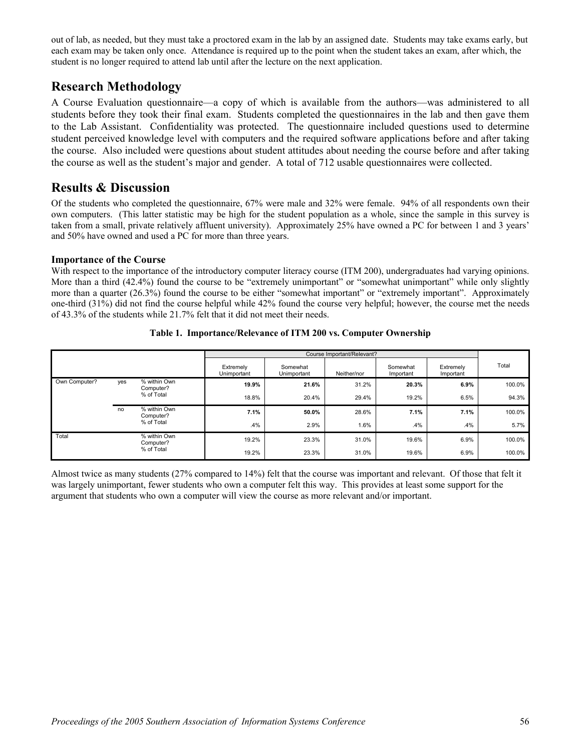out of lab, as needed, but they must take a proctored exam in the lab by an assigned date. Students may take exams early, but each exam may be taken only once. Attendance is required up to the point when the student takes an exam, after which, the student is no longer required to attend lab until after the lecture on the next application.

## **Research Methodology**

A Course Evaluation questionnaire—a copy of which is available from the authors—was administered to all students before they took their final exam. Students completed the questionnaires in the lab and then gave them to the Lab Assistant. Confidentiality was protected. The questionnaire included questions used to determine student perceived knowledge level with computers and the required software applications before and after taking the course. Also included were questions about student attitudes about needing the course before and after taking the course as well as the student's major and gender. A total of 712 usable questionnaires were collected.

## **Results & Discussion**

Of the students who completed the questionnaire, 67% were male and 32% were female. 94% of all respondents own their own computers. (This latter statistic may be high for the student population as a whole, since the sample in this survey is taken from a small, private relatively affluent university). Approximately 25% have owned a PC for between 1 and 3 years' and 50% have owned and used a PC for more than three years.

#### **Importance of the Course**

With respect to the importance of the introductory computer literacy course (ITM 200), undergraduates had varying opinions. More than a third (42.4%) found the course to be "extremely unimportant" or "somewhat unimportant" while only slightly more than a quarter (26.3%) found the course to be either "somewhat important" or "extremely important". Approximately one-third (31%) did not find the course helpful while 42% found the course very helpful; however, the course met the needs of 43.3% of the students while 21.7% felt that it did not meet their needs.

|               |     |                                         | Extremely<br>Unimportant | Somewhat<br>Unimportant | Neither/nor | Somewhat<br>Important | Extremely<br>Important | Total  |
|---------------|-----|-----------------------------------------|--------------------------|-------------------------|-------------|-----------------------|------------------------|--------|
| Own Computer? | yes | % within Own<br>Computer?<br>% of Total | 19.9%                    | 21.6%                   | 31.2%       | 20.3%                 | 6.9%                   | 100.0% |
|               |     |                                         | 18.8%                    | 20.4%                   | 29.4%       | 19.2%                 | 6.5%                   | 94.3%  |
|               | no  | % within Own<br>Computer?<br>% of Total | 7.1%                     | 50.0%                   | 28.6%       | 7.1%                  | 7.1%                   | 100.0% |
|               |     |                                         | .4%                      | 2.9%                    | 1.6%        | .4%                   | .4%                    | 5.7%   |
| Total         |     | % within Own<br>Computer?<br>% of Total | 19.2%                    | 23.3%                   | 31.0%       | 19.6%                 | 6.9%                   | 100.0% |
|               |     |                                         | 19.2%                    | 23.3%                   | 31.0%       | 19.6%                 | 6.9%                   | 100.0% |

**Table 1. Importance/Relevance of ITM 200 vs. Computer Ownership** 

Almost twice as many students (27% compared to 14%) felt that the course was important and relevant. Of those that felt it was largely unimportant, fewer students who own a computer felt this way. This provides at least some support for the argument that students who own a computer will view the course as more relevant and/or important.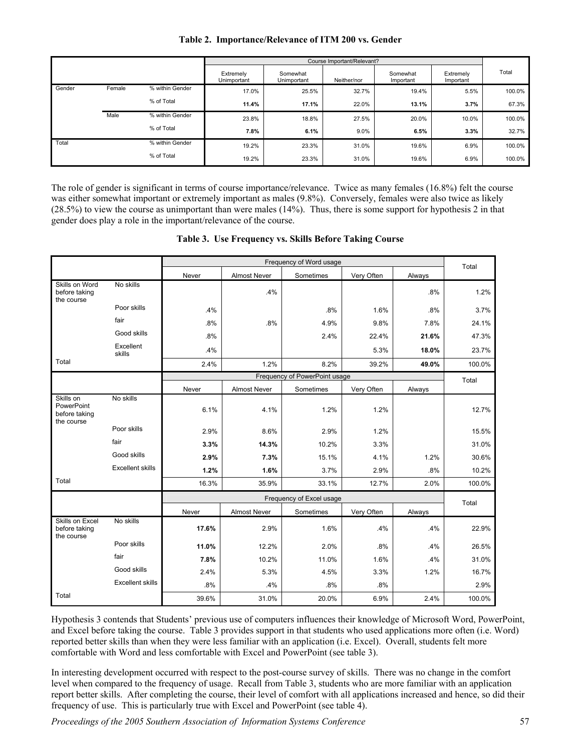|        |        |                 |                          | Course Important/Relevant? |             |                       |                        |        |  |
|--------|--------|-----------------|--------------------------|----------------------------|-------------|-----------------------|------------------------|--------|--|
|        |        |                 | Extremely<br>Unimportant | Somewhat<br>Unimportant    | Neither/nor | Somewhat<br>Important | Extremely<br>Important | Total  |  |
| Gender | Female | % within Gender | 17.0%                    | 25.5%                      | 32.7%       | 19.4%                 | 5.5%                   | 100.0% |  |
|        |        | % of Total      | 11.4%                    | 17.1%                      | 22.0%       | 13.1%                 | 3.7%                   | 67.3%  |  |
|        | Male   | % within Gender | 23.8%                    | 18.8%                      | 27.5%       | 20.0%                 | 10.0%                  | 100.0% |  |
|        |        | % of Total      | 7.8%                     | 6.1%                       | 9.0%        | 6.5%                  | 3.3%                   | 32.7%  |  |
| Total  |        | % within Gender | 19.2%                    | 23.3%                      | 31.0%       | 19.6%                 | 6.9%                   | 100.0% |  |
|        |        | % of Total      | 19.2%                    | 23.3%                      | 31.0%       | 19.6%                 | 6.9%                   | 100.0% |  |

#### **Table 2. Importance/Relevance of ITM 200 vs. Gender**

The role of gender is significant in terms of course importance/relevance. Twice as many females (16.8%) felt the course was either somewhat important or extremely important as males (9.8%). Conversely, females were also twice as likely (28.5%) to view the course as unimportant than were males (14%). Thus, there is some support for hypothesis 2 in that gender does play a role in the important/relevance of the course.

|  | Table 3. Use Frequency vs. Skills Before Taking Course |  |  |
|--|--------------------------------------------------------|--|--|
|--|--------------------------------------------------------|--|--|

|                                                               |                         |       | Frequency of Word usage |                               |            |        |        |  |  |
|---------------------------------------------------------------|-------------------------|-------|-------------------------|-------------------------------|------------|--------|--------|--|--|
|                                                               |                         | Never | <b>Almost Never</b>     | Sometimes                     | Very Often | Always | Total  |  |  |
| Skills on Word<br>before taking<br>the course                 | No skills               |       | .4%                     |                               |            | .8%    | 1.2%   |  |  |
|                                                               | Poor skills             | .4%   |                         | .8%                           | 1.6%       | .8%    | 3.7%   |  |  |
|                                                               | fair                    | .8%   | .8%                     | 4.9%                          | 9.8%       | 7.8%   | 24.1%  |  |  |
|                                                               | Good skills             | .8%   |                         | 2.4%                          | 22.4%      | 21.6%  | 47.3%  |  |  |
|                                                               | Excellent<br>skills     | .4%   |                         |                               | 5.3%       | 18.0%  | 23.7%  |  |  |
| Total                                                         |                         | 2.4%  | 1.2%                    | 8.2%                          | 39.2%      | 49.0%  | 100.0% |  |  |
|                                                               |                         |       |                         | Frequency of PowerPoint usage |            |        | Total  |  |  |
|                                                               |                         | Never | Almost Never            | Sometimes                     | Very Often | Always |        |  |  |
| Skills on<br><b>PowerPoint</b><br>before taking<br>the course | No skills               | 6.1%  | 4.1%                    | 1.2%                          | 1.2%       |        | 12.7%  |  |  |
|                                                               | Poor skills             | 2.9%  | 8.6%                    | 2.9%                          | 1.2%       |        | 15.5%  |  |  |
|                                                               | fair                    | 3.3%  | 14.3%                   | 10.2%                         | 3.3%       |        | 31.0%  |  |  |
|                                                               | Good skills             | 2.9%  | 7.3%                    | 15.1%                         | 4.1%       | 1.2%   | 30.6%  |  |  |
|                                                               | <b>Excellent skills</b> | 1.2%  | 1.6%                    | 3.7%                          | 2.9%       | .8%    | 10.2%  |  |  |
| Total                                                         |                         | 16.3% | 35.9%                   | 33.1%                         | 12.7%      | 2.0%   | 100.0% |  |  |
|                                                               |                         |       |                         | Frequency of Excel usage      |            |        | Total  |  |  |
|                                                               |                         | Never | <b>Almost Never</b>     | Sometimes                     | Very Often | Always |        |  |  |
| Skills on Excel<br>before taking<br>the course                | No skills               | 17.6% | 2.9%                    | 1.6%                          | .4%        | .4%    | 22.9%  |  |  |
|                                                               | Poor skills             | 11.0% | 12.2%                   | 2.0%                          | .8%        | .4%    | 26.5%  |  |  |
|                                                               | fair                    | 7.8%  | 10.2%                   | 11.0%                         | 1.6%       | .4%    | 31.0%  |  |  |
|                                                               | Good skills             | 2.4%  | 5.3%                    | 4.5%                          | 3.3%       | 1.2%   | 16.7%  |  |  |
|                                                               | <b>Excellent skills</b> | .8%   | .4%                     | .8%                           | .8%        |        | 2.9%   |  |  |
| Total                                                         |                         | 39.6% | 31.0%                   | 20.0%                         | 6.9%       | 2.4%   | 100.0% |  |  |

Hypothesis 3 contends that Students' previous use of computers influences their knowledge of Microsoft Word, PowerPoint, and Excel before taking the course. Table 3 provides support in that students who used applications more often (i.e. Word) reported better skills than when they were less familiar with an application (i.e. Excel). Overall, students felt more comfortable with Word and less comfortable with Excel and PowerPoint (see table 3).

In interesting development occurred with respect to the post-course survey of skills. There was no change in the comfort level when compared to the frequency of usage. Recall from Table 3, students who are more familiar with an application report better skills. After completing the course, their level of comfort with all applications increased and hence, so did their frequency of use. This is particularly true with Excel and PowerPoint (see table 4).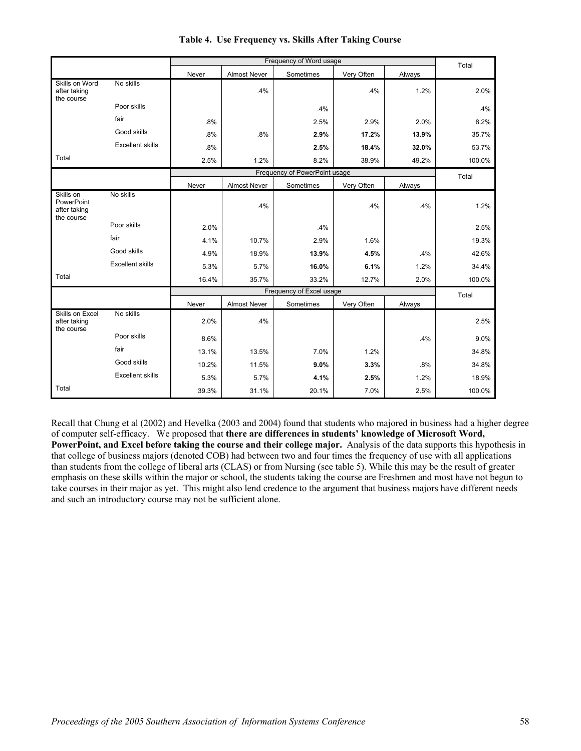|                                                       |                         |       | Frequency of Word usage |                               |            |        |        |  |
|-------------------------------------------------------|-------------------------|-------|-------------------------|-------------------------------|------------|--------|--------|--|
|                                                       |                         | Never | <b>Almost Never</b>     | Sometimes                     | Very Often | Always |        |  |
| Skills on Word<br>after taking<br>the course          | No skills               |       | .4%                     |                               | .4%        | 1.2%   | 2.0%   |  |
|                                                       | Poor skills             |       |                         | .4%                           |            |        | .4%    |  |
|                                                       | fair                    | .8%   |                         | 2.5%                          | 2.9%       | 2.0%   | 8.2%   |  |
|                                                       | Good skills             | .8%   | .8%                     | 2.9%                          | 17.2%      | 13.9%  | 35.7%  |  |
|                                                       | <b>Excellent skills</b> | .8%   |                         | 2.5%                          | 18.4%      | 32.0%  | 53.7%  |  |
| Total                                                 |                         | 2.5%  | 1.2%                    | 8.2%                          | 38.9%      | 49.2%  | 100.0% |  |
|                                                       |                         |       |                         | Frequency of PowerPoint usage |            |        | Total  |  |
|                                                       |                         | Never | <b>Almost Never</b>     | Sometimes                     | Very Often | Always |        |  |
| Skills on<br>PowerPoint<br>after taking<br>the course | No skills               |       | .4%                     |                               | .4%        | .4%    | 1.2%   |  |
|                                                       | Poor skills             | 2.0%  |                         | .4%                           |            |        | 2.5%   |  |
|                                                       | fair                    | 4.1%  | 10.7%                   | 2.9%                          | 1.6%       |        | 19.3%  |  |
|                                                       | Good skills             | 4.9%  | 18.9%                   | 13.9%                         | 4.5%       | .4%    | 42.6%  |  |
|                                                       | <b>Excellent skills</b> | 5.3%  | 5.7%                    | 16.0%                         | 6.1%       | 1.2%   | 34.4%  |  |
| Total                                                 |                         | 16.4% | 35.7%                   | 33.2%                         | 12.7%      | 2.0%   | 100.0% |  |
|                                                       |                         |       |                         | Frequency of Excel usage      |            |        | Total  |  |
|                                                       |                         | Never | <b>Almost Never</b>     | Sometimes                     | Very Often | Always |        |  |
| Skills on Excel<br>after taking<br>the course         | No skills               | 2.0%  | .4%                     |                               |            |        | 2.5%   |  |
|                                                       | Poor skills             | 8.6%  |                         |                               |            | .4%    | 9.0%   |  |
|                                                       | fair                    | 13.1% | 13.5%                   | 7.0%                          | 1.2%       |        | 34.8%  |  |
|                                                       | Good skills             | 10.2% | 11.5%                   | 9.0%                          | 3.3%       | .8%    | 34.8%  |  |
|                                                       | <b>Excellent skills</b> | 5.3%  | 5.7%                    | 4.1%                          | 2.5%       | 1.2%   | 18.9%  |  |
| Total                                                 |                         | 39.3% | 31.1%                   | 20.1%                         | 7.0%       | 2.5%   | 100.0% |  |

#### **Table 4. Use Frequency vs. Skills After Taking Course**

Recall that Chung et al (2002) and Hevelka (2003 and 2004) found that students who majored in business had a higher degree of computer self-efficacy. We proposed that **there are differences in students' knowledge of Microsoft Word, PowerPoint, and Excel before taking the course and their college major.** Analysis of the data supports this hypothesis in that college of business majors (denoted COB) had between two and four times the frequency of use with all applications than students from the college of liberal arts (CLAS) or from Nursing (see table 5). While this may be the result of greater emphasis on these skills within the major or school, the students taking the course are Freshmen and most have not begun to take courses in their major as yet. This might also lend credence to the argument that business majors have different needs and such an introductory course may not be sufficient alone.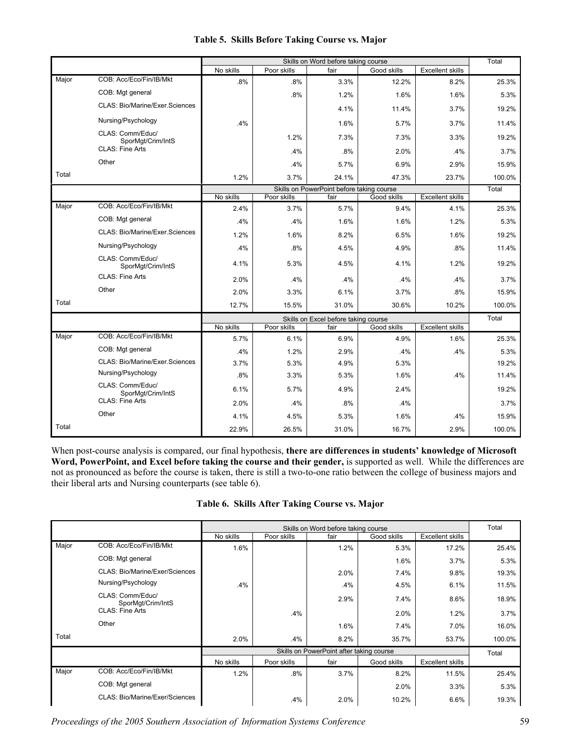|       |                                       |           | Skills on Word before taking course |                                           |             |                         |        |
|-------|---------------------------------------|-----------|-------------------------------------|-------------------------------------------|-------------|-------------------------|--------|
|       |                                       | No skills | Poor skills                         | fair                                      | Good skills | <b>Excellent skills</b> |        |
| Major | COB: Acc/Eco/Fin/IB/Mkt               | .8%       | .8%                                 | 3.3%                                      | 12.2%       | 8.2%                    | 25.3%  |
|       | COB: Mgt general                      |           | .8%                                 | 1.2%                                      | 1.6%        | 1.6%                    | 5.3%   |
|       | <b>CLAS: Bio/Marine/Exer.Sciences</b> |           |                                     | 4.1%                                      | 11.4%       | 3.7%                    | 19.2%  |
|       | Nursing/Psychology                    | .4%       |                                     | 1.6%                                      | 5.7%        | 3.7%                    | 11.4%  |
|       | CLAS: Comm/Educ/<br>SporMqt/Crim/IntS |           | 1.2%                                | 7.3%                                      | 7.3%        | 3.3%                    | 19.2%  |
|       | <b>CLAS: Fine Arts</b>                |           | .4%                                 | .8%                                       | 2.0%        | .4%                     | 3.7%   |
|       | Other                                 |           | .4%                                 | 5.7%                                      | 6.9%        | 2.9%                    | 15.9%  |
| Total |                                       | 1.2%      | 3.7%                                | 24.1%                                     | 47.3%       | 23.7%                   | 100.0% |
|       |                                       |           |                                     | Skills on PowerPoint before taking course |             |                         | Total  |
|       |                                       | No skills | Poor skills                         | fair                                      | Good skills | <b>Excellent skills</b> |        |
| Major | COB: Acc/Eco/Fin/IB/Mkt               | 2.4%      | 3.7%                                | 5.7%                                      | 9.4%        | 4.1%                    | 25.3%  |
|       | COB: Mgt general                      | .4%       | .4%                                 | 1.6%                                      | 1.6%        | 1.2%                    | 5.3%   |
|       | <b>CLAS: Bio/Marine/Exer.Sciences</b> | 1.2%      | 1.6%                                | 8.2%                                      | 6.5%        | 1.6%                    | 19.2%  |
|       | Nursing/Psychology                    | .4%       | .8%                                 | 4.5%                                      | 4.9%        | .8%                     | 11.4%  |
|       | CLAS: Comm/Educ/<br>SporMgt/Crim/IntS | 4.1%      | 5.3%                                | 4.5%                                      | 4.1%        | 1.2%                    | 19.2%  |
|       | <b>CLAS: Fine Arts</b>                | 2.0%      | $.4\%$                              | .4%                                       | .4%         | .4%                     | 3.7%   |
|       | Other                                 | 2.0%      | 3.3%                                | 6.1%                                      | 3.7%        | .8%                     | 15.9%  |
| Total |                                       | 12.7%     | 15.5%                               | 31.0%                                     | 30.6%       | 10.2%                   | 100.0% |
|       |                                       |           |                                     | Skills on Excel before taking course      |             |                         | Total  |
|       |                                       | No skills | Poor skills                         | fair                                      | Good skills | <b>Excellent skills</b> |        |
| Major | COB: Acc/Eco/Fin/IB/Mkt               | 5.7%      | 6.1%                                | 6.9%                                      | 4.9%        | 1.6%                    | 25.3%  |
|       | COB: Mgt general                      | .4%       | 1.2%                                | 2.9%                                      | .4%         | .4%                     | 5.3%   |
|       | <b>CLAS: Bio/Marine/Exer.Sciences</b> | 3.7%      | 5.3%                                | 4.9%                                      | 5.3%        |                         | 19.2%  |
|       | Nursing/Psychology                    | .8%       | 3.3%                                | 5.3%                                      | 1.6%        | .4%                     | 11.4%  |
|       | CLAS: Comm/Educ/<br>SporMgt/Crim/IntS | 6.1%      | 5.7%                                | 4.9%                                      | 2.4%        |                         | 19.2%  |
|       | <b>CLAS: Fine Arts</b>                | 2.0%      | .4%                                 | .8%                                       | .4%         |                         | 3.7%   |
|       | Other                                 | 4.1%      | 4.5%                                | 5.3%                                      | 1.6%        | .4%                     | 15.9%  |
| Total |                                       | 22.9%     | 26.5%                               | 31.0%                                     | 16.7%       | 2.9%                    | 100.0% |

#### **Table 5. Skills Before Taking Course vs. Major**

When post-course analysis is compared, our final hypothesis, **there are differences in students' knowledge of Microsoft Word, PowerPoint, and Excel before taking the course and their gender,** is supported as well. While the differences are not as pronounced as before the course is taken, there is still a two-to-one ratio between the college of business majors and their liberal arts and Nursing counterparts (see table 6).

|  | Table 6. Skills After Taking Course vs. Major |  |  |  |
|--|-----------------------------------------------|--|--|--|
|--|-----------------------------------------------|--|--|--|

|       |                                       |           |             | Skills on Word before taking course      |             |                         | Total  |
|-------|---------------------------------------|-----------|-------------|------------------------------------------|-------------|-------------------------|--------|
|       |                                       | No skills | Poor skills | fair                                     | Good skills | <b>Excellent skills</b> |        |
| Major | COB: Acc/Eco/Fin/IB/Mkt               | 1.6%      |             | 1.2%                                     | 5.3%        | 17.2%                   | 25.4%  |
|       | COB: Mgt general                      |           |             |                                          | 1.6%        | 3.7%                    | 5.3%   |
|       | CLAS: Bio/Marine/Exer/Sciences        |           |             | 2.0%                                     | 7.4%        | 9.8%                    | 19.3%  |
|       | Nursing/Psychology                    | .4%       |             | .4%                                      | 4.5%        | 6.1%                    | 11.5%  |
|       | CLAS: Comm/Educ/<br>SporMgt/Crim/IntS |           |             | 2.9%                                     | 7.4%        | 8.6%                    | 18.9%  |
|       | <b>CLAS: Fine Arts</b>                |           | .4%         |                                          | 2.0%        | 1.2%                    | 3.7%   |
|       | Other                                 |           |             | 1.6%                                     | 7.4%        | 7.0%                    | 16.0%  |
| Total |                                       | 2.0%      | .4%         | 8.2%                                     | 35.7%       | 53.7%                   | 100.0% |
|       |                                       |           |             | Skills on PowerPoint after taking course |             |                         | Total  |
|       |                                       | No skills | Poor skills | fair                                     | Good skills | <b>Excellent skills</b> |        |
| Major | COB: Acc/Eco/Fin/IB/Mkt               | 1.2%      | .8%         | 3.7%                                     | 8.2%        | 11.5%                   | 25.4%  |
|       | COB: Mgt general                      |           |             |                                          | 2.0%        | 3.3%                    | 5.3%   |
|       | CLAS: Bio/Marine/Exer/Sciences        |           | .4%         | 2.0%                                     | 10.2%       | 6.6%                    | 19.3%  |

*Proceedings of the 2005 Southern Association of Information Systems Conference* 59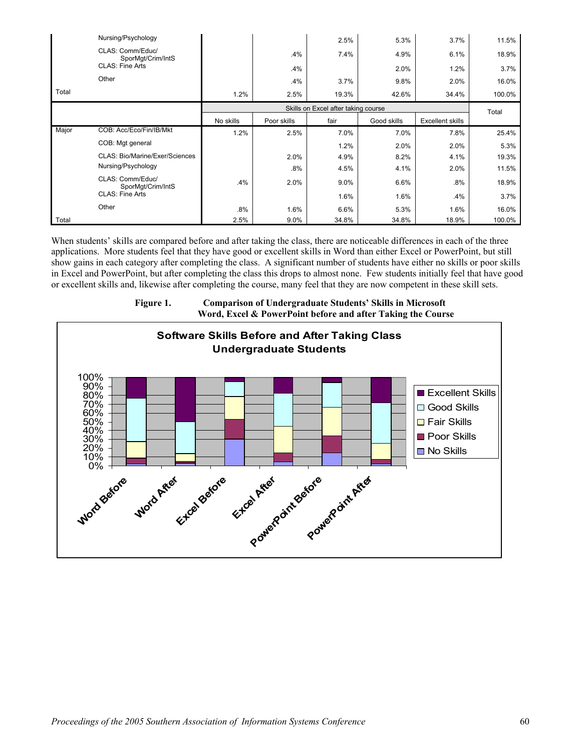|       | Nursing/Psychology                    |           |             | 2.5%  | 5.3%        | 3.7%                    | 11.5%  |
|-------|---------------------------------------|-----------|-------------|-------|-------------|-------------------------|--------|
|       | CLAS: Comm/Educ/<br>SporMgt/Crim/IntS |           | .4%         | 7.4%  | 4.9%        | 6.1%                    | 18.9%  |
|       | <b>CLAS: Fine Arts</b>                |           | .4%         |       | 2.0%        | 1.2%                    | 3.7%   |
|       | Other                                 |           | .4%         | 3.7%  | 9.8%        | 2.0%                    | 16.0%  |
| Total |                                       | 1.2%      | 2.5%        | 19.3% | 42.6%       | 34.4%                   | 100.0% |
|       |                                       |           | Total       |       |             |                         |        |
|       |                                       | No skills | Poor skills | fair  | Good skills | <b>Excellent skills</b> |        |
| Major | COB: Acc/Eco/Fin/IB/Mkt               | 1.2%      | 2.5%        | 7.0%  | 7.0%        | 7.8%                    | 25.4%  |
|       | COB: Mgt general                      |           |             | 1.2%  | 2.0%        | 2.0%                    | 5.3%   |
|       | CLAS: Bio/Marine/Exer/Sciences        |           | 2.0%        | 4.9%  | 8.2%        | 4.1%                    | 19.3%  |
|       | Nursing/Psychology                    |           | .8%         | 4.5%  | 4.1%        | 2.0%                    | 11.5%  |
|       | CLAS: Comm/Educ/<br>SporMgt/Crim/IntS | .4%       | 2.0%        | 9.0%  | 6.6%        | .8%                     | 18.9%  |
|       | <b>CLAS: Fine Arts</b>                |           |             | 1.6%  | 1.6%        | .4%                     | 3.7%   |
|       | Other                                 | .8%       | 1.6%        | 6.6%  | 5.3%        | 1.6%                    | 16.0%  |
| Total |                                       | 2.5%      | 9.0%        | 34.8% | 34.8%       | 18.9%                   | 100.0% |

When students' skills are compared before and after taking the class, there are noticeable differences in each of the three applications. More students feel that they have good or excellent skills in Word than either Excel or PowerPoint, but still show gains in each category after completing the class. A significant number of students have either no skills or poor skills in Excel and PowerPoint, but after completing the class this drops to almost none. Few students initially feel that have good or excellent skills and, likewise after completing the course, many feel that they are now competent in these skill sets.